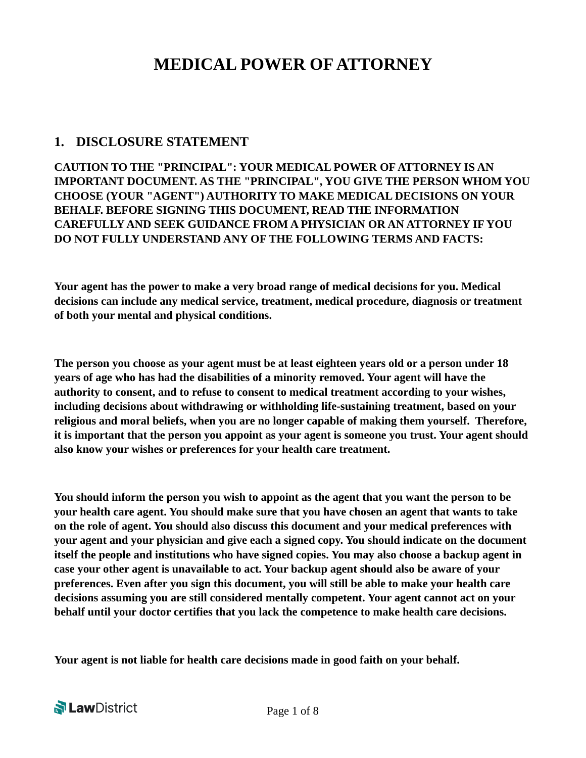# **MEDICAL POWER OF ATTORNEY**

### **1. DISCLOSURE STATEMENT**

**CAUTION TO THE "PRINCIPAL": YOUR MEDICAL POWER OF ATTORNEY IS AN IMPORTANT DOCUMENT. AS THE "PRINCIPAL", YOU GIVE THE PERSON WHOM YOU CHOOSE (YOUR "AGENT") AUTHORITY TO MAKE MEDICAL DECISIONS ON YOUR BEHALF. BEFORE SIGNING THIS DOCUMENT, READ THE INFORMATION CAREFULLY AND SEEK GUIDANCE FROM A PHYSICIAN OR AN ATTORNEY IF YOU DO NOT FULLY UNDERSTAND ANY OF THE FOLLOWING TERMS AND FACTS:** 

**Your agent has the power to make a very broad range of medical decisions for you. Medical decisions can include any medical service, treatment, medical procedure, diagnosis or treatment of both your mental and physical conditions.** 

**The person you choose as your agent must be at least eighteen years old or a person under 18 years of age who has had the disabilities of a minority removed. Your agent will have the authority to consent, and to refuse to consent to medical treatment according to your wishes, including decisions about withdrawing or withholding life-sustaining treatment, based on your religious and moral beliefs, when you are no longer capable of making them yourself. Therefore, it is important that the person you appoint as your agent is someone you trust. Your agent should also know your wishes or preferences for your health care treatment.**

**You should inform the person you wish to appoint as the agent that you want the person to be your health care agent. You should make sure that you have chosen an agent that wants to take on the role of agent. You should also discuss this document and your medical preferences with your agent and your physician and give each a signed copy. You should indicate on the document itself the people and institutions who have signed copies. You may also choose a backup agent in case your other agent is unavailable to act. Your backup agent should also be aware of your preferences. Even after you sign this document, you will still be able to make your health care decisions assuming you are still considered mentally competent. Your agent cannot act on your behalf until your doctor certifies that you lack the competence to make health care decisions.**

**Your agent is not liable for health care decisions made in good faith on your behalf.** 

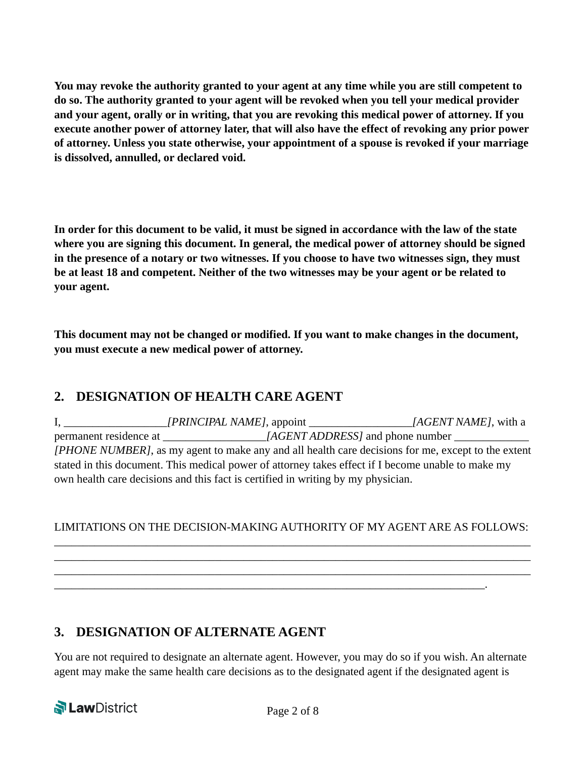**You may revoke the authority granted to your agent at any time while you are still competent to do so. The authority granted to your agent will be revoked when you tell your medical provider and your agent, orally or in writing, that you are revoking this medical power of attorney. If you execute another power of attorney later, that will also have the effect of revoking any prior power of attorney. Unless you state otherwise, your appointment of a spouse is revoked if your marriage is dissolved, annulled, or declared void.** 

**In order for this document to be valid, it must be signed in accordance with the law of the state where you are signing this document. In general, the medical power of attorney should be signed in the presence of a notary or two witnesses. If you choose to have two witnesses sign, they must be at least 18 and competent. Neither of the two witnesses may be your agent or be related to your agent.** 

**This document may not be changed or modified. If you want to make changes in the document, you must execute a new medical power of attorney.** 

# **2. DESIGNATION OF HEALTH CARE AGENT**

I, \_\_\_\_\_\_\_\_\_\_\_\_\_\_\_\_\_*\_[PRINCIPAL NAME]*, appoint \_\_\_\_\_\_\_\_\_\_\_\_\_\_\_\_\_*\_[AGENT NAME]*, with a permanent residence at \_\_\_\_\_\_\_\_\_\_\_\_\_\_\_\_\_*\_[AGENT ADDRESS]* and phone number \_\_\_\_\_\_\_\_\_\_\_\_\_ *[PHONE NUMBER]*, as my agent to make any and all health care decisions for me, except to the extent stated in this document. This medical power of attorney takes effect if I become unable to make my own health care decisions and this fact is certified in writing by my physician.

#### LIMITATIONS ON THE DECISION-MAKING AUTHORITY OF MY AGENT ARE AS FOLLOWS: \_\_\_\_\_\_\_\_\_\_\_\_\_\_\_\_\_\_\_\_\_\_\_\_\_\_\_\_\_\_\_\_\_\_\_\_\_\_\_\_\_\_\_\_\_\_\_\_\_\_\_\_\_\_\_\_\_\_\_\_\_\_\_\_\_\_\_\_\_\_\_\_\_\_\_\_\_\_\_\_\_\_\_

\_\_\_\_\_\_\_\_\_\_\_\_\_\_\_\_\_\_\_\_\_\_\_\_\_\_\_\_\_\_\_\_\_\_\_\_\_\_\_\_\_\_\_\_\_\_\_\_\_\_\_\_\_\_\_\_\_\_\_\_\_\_\_\_\_\_\_\_\_\_\_\_\_\_\_\_\_\_\_\_\_\_\_ \_\_\_\_\_\_\_\_\_\_\_\_\_\_\_\_\_\_\_\_\_\_\_\_\_\_\_\_\_\_\_\_\_\_\_\_\_\_\_\_\_\_\_\_\_\_\_\_\_\_\_\_\_\_\_\_\_\_\_\_\_\_\_\_\_\_\_\_\_\_\_\_\_\_\_\_\_\_\_\_\_\_\_

\_\_\_\_\_\_\_\_\_\_\_\_\_\_\_\_\_\_\_\_\_\_\_\_\_\_\_\_\_\_\_\_\_\_\_\_\_\_\_\_\_\_\_\_\_\_\_\_\_\_\_\_\_\_\_\_\_\_\_\_\_\_\_\_\_\_\_\_\_\_\_\_\_\_\_.

# **3. DESIGNATION OF ALTERNATE AGENT**

You are not required to designate an alternate agent. However, you may do so if you wish. An alternate agent may make the same health care decisions as to the designated agent if the designated agent is

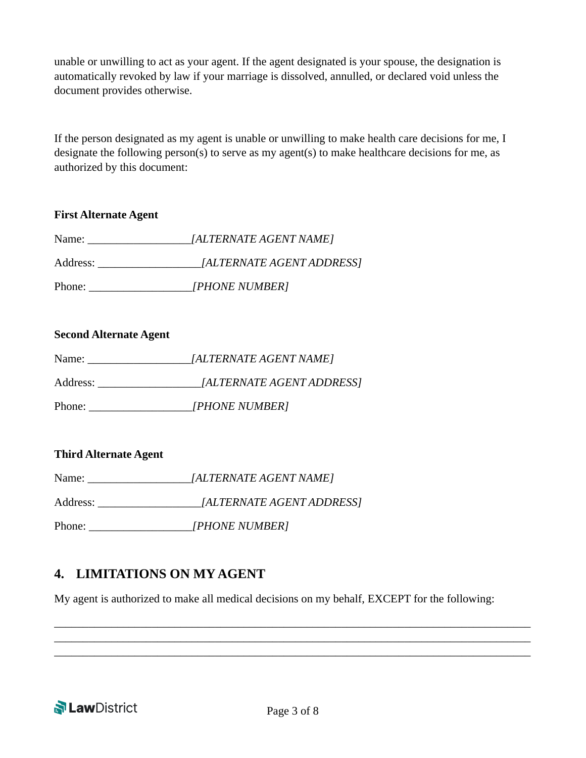unable or unwilling to act as your agent. If the agent designated is your spouse, the designation is automatically revoked by law if your marriage is dissolved, annulled, or declared void unless the document provides otherwise.

If the person designated as my agent is unable or unwilling to make health care decisions for me, I designate the following person(s) to serve as my agent(s) to make healthcare decisions for me, as authorized by this document:

| <b>First Alternate Agent</b> |                           |  |  |
|------------------------------|---------------------------|--|--|
| Name:                        | [ALTERNATE AGENT NAME]    |  |  |
| Address:                     | [ALTERNATE AGENT ADDRESS] |  |  |
| Phone:                       | [PHONE NUMBER]            |  |  |

#### **Second Alternate Agent**

| Name:    | [ALTERNATE AGENT NAME]           |
|----------|----------------------------------|
| Address: | <i>[ALTERNATE AGENT ADDRESS]</i> |
| Phone:   | [PHONE NUMBER]                   |

#### **Third Alternate Agent**

| Name:    | [ALTERNATE AGENT NAME]    |
|----------|---------------------------|
| Address: | [ALTERNATE AGENT ADDRESS] |
| Phone:   | [PHONE NUMBER]            |

### **4. LIMITATIONS ON MY AGENT**

My agent is authorized to make all medical decisions on my behalf, EXCEPT for the following:



\_\_\_\_\_\_\_\_\_\_\_\_\_\_\_\_\_\_\_\_\_\_\_\_\_\_\_\_\_\_\_\_\_\_\_\_\_\_\_\_\_\_\_\_\_\_\_\_\_\_\_\_\_\_\_\_\_\_\_\_\_\_\_\_\_\_\_\_\_\_\_\_\_\_\_\_\_\_\_\_\_\_\_ \_\_\_\_\_\_\_\_\_\_\_\_\_\_\_\_\_\_\_\_\_\_\_\_\_\_\_\_\_\_\_\_\_\_\_\_\_\_\_\_\_\_\_\_\_\_\_\_\_\_\_\_\_\_\_\_\_\_\_\_\_\_\_\_\_\_\_\_\_\_\_\_\_\_\_\_\_\_\_\_\_\_\_ \_\_\_\_\_\_\_\_\_\_\_\_\_\_\_\_\_\_\_\_\_\_\_\_\_\_\_\_\_\_\_\_\_\_\_\_\_\_\_\_\_\_\_\_\_\_\_\_\_\_\_\_\_\_\_\_\_\_\_\_\_\_\_\_\_\_\_\_\_\_\_\_\_\_\_\_\_\_\_\_\_\_\_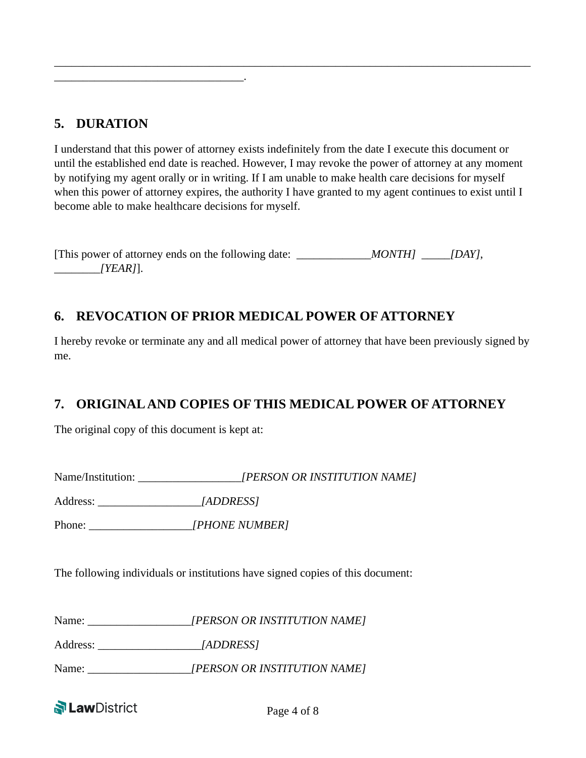# **5. DURATION**

\_\_\_\_\_\_\_\_\_\_\_\_\_\_\_\_\_\_\_\_\_\_\_\_\_\_\_\_\_\_\_\_\_.

I understand that this power of attorney exists indefinitely from the date I execute this document or until the established end date is reached. However, I may revoke the power of attorney at any moment by notifying my agent orally or in writing. If I am unable to make health care decisions for myself when this power of attorney expires, the authority I have granted to my agent continues to exist until I become able to make healthcare decisions for myself.

\_\_\_\_\_\_\_\_\_\_\_\_\_\_\_\_\_\_\_\_\_\_\_\_\_\_\_\_\_\_\_\_\_\_\_\_\_\_\_\_\_\_\_\_\_\_\_\_\_\_\_\_\_\_\_\_\_\_\_\_\_\_\_\_\_\_\_\_\_\_\_\_\_\_\_\_\_\_\_\_\_\_\_

[This power of attorney ends on the following date: \_\_\_\_\_\_\_\_\_\_\_\_*MONTH]* \_\_\_*[DAY]*, \_\_\_\_\_\_\_\_*[YEAR]*].

# **6. REVOCATION OF PRIOR MEDICAL POWER OF ATTORNEY**

I hereby revoke or terminate any and all medical power of attorney that have been previously signed by me.

# **7. ORIGINAL AND COPIES OF THIS MEDICAL POWER OF ATTORNEY**

The original copy of this document is kept at:

Name/Institution: \_\_\_\_\_\_\_\_\_\_\_\_\_\_\_\_\_*\_[PERSON OR INSTITUTION NAME]* Address: \_\_\_\_\_\_\_\_\_\_\_\_\_\_\_\_\_\_*[ADDRESS]* 

Phone: \_\_\_\_\_\_\_\_\_\_\_\_\_\_\_\_\_\_*[PHONE NUMBER]*

The following individuals or institutions have signed copies of this document:

Name: \_\_\_\_\_\_\_\_\_\_\_\_\_\_\_\_\_*\_[PERSON OR INSTITUTION NAME]* 

Address: \_\_\_\_\_\_\_\_\_\_\_\_\_\_\_\_\_\_*[ADDRESS]* 

Name: [PERSON OR INSTITUTION NAME]

**N**LawDistrict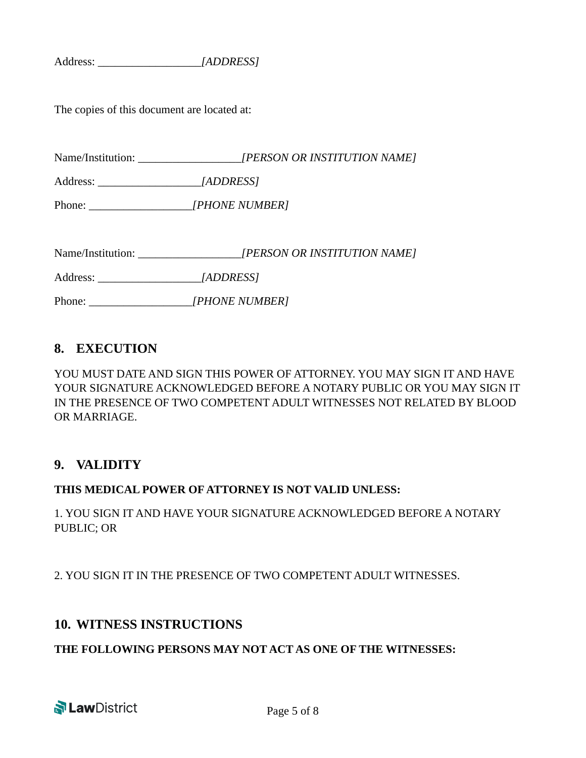Address: \_\_\_\_\_\_\_\_\_\_\_\_\_\_\_\_\_\_*[ADDRESS]* 

The copies of this document are located at:

Name/Institution: \_\_\_\_\_\_\_\_\_\_\_\_\_\_\_\_\_*\_[PERSON OR INSTITUTION NAME]*

Address: \_\_\_\_\_\_\_\_\_\_\_\_\_\_\_\_\_\_*[ADDRESS]* 

Phone: \_\_\_\_\_\_\_\_\_\_\_\_\_\_\_\_\_\_*[PHONE NUMBER]*

Name/Institution: \_\_\_\_\_\_\_\_\_\_\_\_\_\_\_\_\_*\_[PERSON OR INSTITUTION NAME]*

Address: \_\_\_\_\_\_\_\_\_\_\_\_\_\_\_\_\_\_*[ADDRESS]* 

Phone:  $[PHONE NUMBER]$ 

### **8. EXECUTION**

YOU MUST DATE AND SIGN THIS POWER OF ATTORNEY. YOU MAY SIGN IT AND HAVE YOUR SIGNATURE ACKNOWLEDGED BEFORE A NOTARY PUBLIC OR YOU MAY SIGN IT IN THE PRESENCE OF TWO COMPETENT ADULT WITNESSES NOT RELATED BY BLOOD OR MARRIAGE.

### **9. VALIDITY**

#### **THIS MEDICAL POWER OF ATTORNEY IS NOT VALID UNLESS:**

1. YOU SIGN IT AND HAVE YOUR SIGNATURE ACKNOWLEDGED BEFORE A NOTARY PUBLIC; OR

2. YOU SIGN IT IN THE PRESENCE OF TWO COMPETENT ADULT WITNESSES.

### **10. WITNESS INSTRUCTIONS**

#### **THE FOLLOWING PERSONS MAY NOT ACT AS ONE OF THE WITNESSES:**

**N** LawDistrict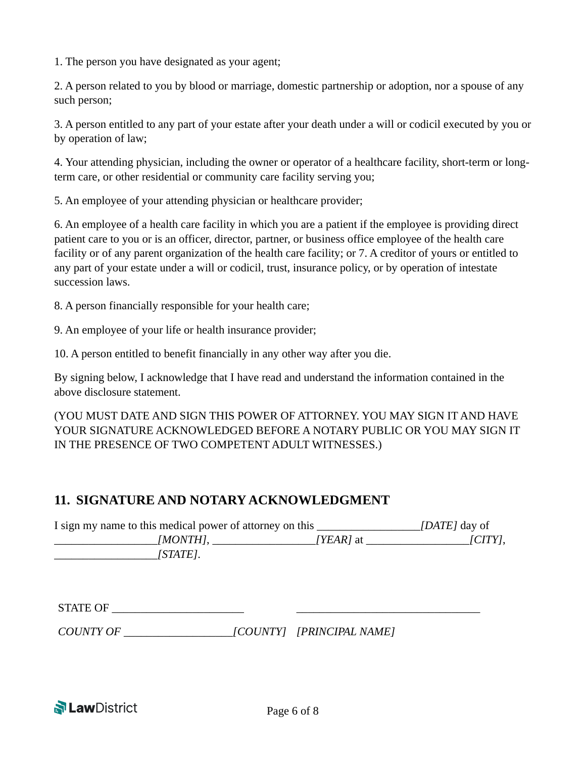1. The person you have designated as your agent;

2. A person related to you by blood or marriage, domestic partnership or adoption, nor a spouse of any such person;

3. A person entitled to any part of your estate after your death under a will or codicil executed by you or by operation of law;

4. Your attending physician, including the owner or operator of a healthcare facility, short-term or longterm care, or other residential or community care facility serving you;

5. An employee of your attending physician or healthcare provider;

6. An employee of a health care facility in which you are a patient if the employee is providing direct patient care to you or is an officer, director, partner, or business office employee of the health care facility or of any parent organization of the health care facility; or 7. A creditor of yours or entitled to any part of your estate under a will or codicil, trust, insurance policy, or by operation of intestate succession laws.

8. A person financially responsible for your health care;

9. An employee of your life or health insurance provider;

10. A person entitled to benefit financially in any other way after you die.

By signing below, I acknowledge that I have read and understand the information contained in the above disclosure statement.

(YOU MUST DATE AND SIGN THIS POWER OF ATTORNEY. YOU MAY SIGN IT AND HAVE YOUR SIGNATURE ACKNOWLEDGED BEFORE A NOTARY PUBLIC OR YOU MAY SIGN IT IN THE PRESENCE OF TWO COMPETENT ADULT WITNESSES.)

### **11. SIGNATURE AND NOTARY ACKNOWLEDGMENT**

| I sign my name to this medical power of attorney on this |           | <i>[DATE]</i> day of     |
|----------------------------------------------------------|-----------|--------------------------|
| [MONTH],                                                 | [YEAR] at | $\lfloor CITY \rfloor$ , |
| [STATE].                                                 |           |                          |

*COUNTY OF \_\_\_\_\_\_\_\_\_\_\_\_\_\_\_\_\_\_\_[COUNTY] [PRINCIPAL NAME]* 

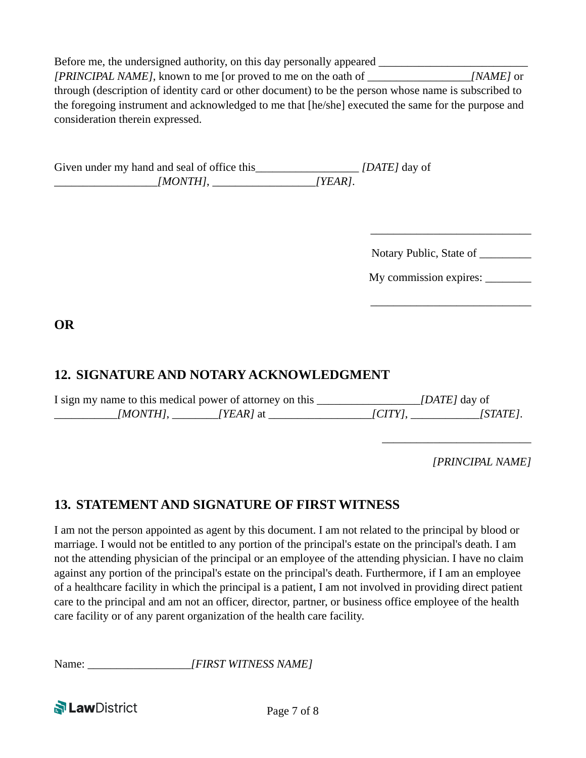Before me, the undersigned authority, on this day personally appeared *[PRINCIPAL NAME]*, known to me [or proved to me on the oath of \_\_\_\_\_\_\_\_\_\_\_\_\_\_\_\_\_\_*[NAME]* or through (description of identity card or other document) to be the person whose name is subscribed to the foregoing instrument and acknowledged to me that [he/she] executed the same for the purpose and consideration therein expressed.

Given under my hand and seal of office this\_\_\_\_\_\_\_\_\_\_\_\_\_\_\_\_\_\_\_ *[DATE]* day of \_\_\_\_\_\_\_\_\_\_\_\_\_\_\_\_\_\_*[MONTH]*, \_\_\_\_\_\_\_\_\_\_\_\_\_\_\_\_\_\_*[YEAR]*.

Notary Public, State of \_\_\_\_\_\_\_\_\_

\_\_\_\_\_\_\_\_\_\_\_\_\_\_\_\_\_\_\_\_\_\_\_\_\_\_\_\_

My commission expires: \_\_\_\_\_\_\_\_

**OR** 

# **12. SIGNATURE AND NOTARY ACKNOWLEDGMENT**

| I sign my name to this medical power of attorney on this |                    |        | <i>[DATE]</i> day of |
|----------------------------------------------------------|--------------------|--------|----------------------|
| [MONTH].                                                 | / <i>YEAR</i> / at | [CITY] | [STATE].             |

 $\overline{\phantom{a}}$  , and the contract of the contract of the contract of the contract of the contract of the contract of the contract of the contract of the contract of the contract of the contract of the contract of the contrac

*[PRINCIPAL NAME]*

\_\_\_\_\_\_\_\_\_\_\_\_\_\_\_\_\_\_\_\_\_\_\_\_\_\_

# **13. STATEMENT AND SIGNATURE OF FIRST WITNESS**

I am not the person appointed as agent by this document. I am not related to the principal by blood or marriage. I would not be entitled to any portion of the principal's estate on the principal's death. I am not the attending physician of the principal or an employee of the attending physician. I have no claim against any portion of the principal's estate on the principal's death. Furthermore, if I am an employee of a healthcare facility in which the principal is a patient, I am not involved in providing direct patient care to the principal and am not an officer, director, partner, or business office employee of the health care facility or of any parent organization of the health care facility.

Name:  $[FIRST \, WITNESS \, NAME]$ 

**N Law** District